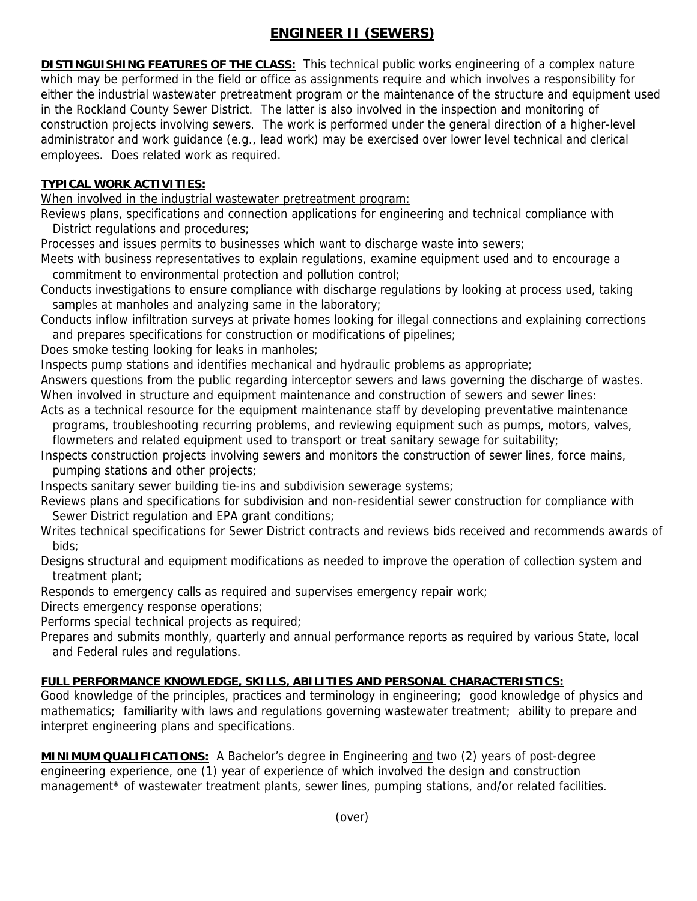## **ENGINEER II (SEWERS)**

**DISTINGUISHING FEATURES OF THE CLASS:** This technical public works engineering of a complex nature which may be performed in the field or office as assignments require and which involves a responsibility for either the industrial wastewater pretreatment program or the maintenance of the structure and equipment used in the Rockland County Sewer District. The latter is also involved in the inspection and monitoring of construction projects involving sewers. The work is performed under the general direction of a higher-level administrator and work guidance (e.g., lead work) may be exercised over lower level technical and clerical employees. Does related work as required.

## **TYPICAL WORK ACTIVITIES:**

When involved in the industrial wastewater pretreatment program:

Reviews plans, specifications and connection applications for engineering and technical compliance with District regulations and procedures;

Processes and issues permits to businesses which want to discharge waste into sewers;

Meets with business representatives to explain regulations, examine equipment used and to encourage a commitment to environmental protection and pollution control;

Conducts investigations to ensure compliance with discharge regulations by looking at process used, taking samples at manholes and analyzing same in the laboratory;

Conducts inflow infiltration surveys at private homes looking for illegal connections and explaining corrections and prepares specifications for construction or modifications of pipelines;

Does smoke testing looking for leaks in manholes;

Inspects pump stations and identifies mechanical and hydraulic problems as appropriate;

Answers questions from the public regarding interceptor sewers and laws governing the discharge of wastes. When involved in structure and equipment maintenance and construction of sewers and sewer lines:

Acts as a technical resource for the equipment maintenance staff by developing preventative maintenance programs, troubleshooting recurring problems, and reviewing equipment such as pumps, motors, valves,

 flowmeters and related equipment used to transport or treat sanitary sewage for suitability; Inspects construction projects involving sewers and monitors the construction of sewer lines, force mains,

pumping stations and other projects;

Inspects sanitary sewer building tie-ins and subdivision sewerage systems;

Reviews plans and specifications for subdivision and non-residential sewer construction for compliance with Sewer District regulation and EPA grant conditions;

Writes technical specifications for Sewer District contracts and reviews bids received and recommends awards of bids;

Designs structural and equipment modifications as needed to improve the operation of collection system and treatment plant;

Responds to emergency calls as required and supervises emergency repair work;

Directs emergency response operations;

Performs special technical projects as required;

Prepares and submits monthly, quarterly and annual performance reports as required by various State, local and Federal rules and regulations.

## **FULL PERFORMANCE KNOWLEDGE, SKILLS, ABILITIES AND PERSONAL CHARACTERISTICS:**

Good knowledge of the principles, practices and terminology in engineering; good knowledge of physics and mathematics; familiarity with laws and regulations governing wastewater treatment; ability to prepare and interpret engineering plans and specifications.

**MINIMUM QUALIFICATIONS:** A Bachelor's degree in Engineering and two (2) years of post-degree engineering experience, one (1) year of experience of which involved the design and construction management\* of wastewater treatment plants, sewer lines, pumping stations, and/or related facilities.